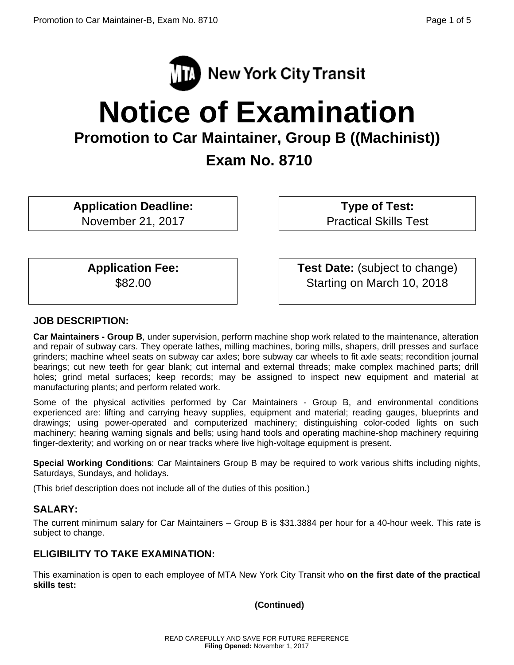

# **Notice of Examination**

**Promotion to Car Maintainer, Group B ((Machinist))** 

 **Exam No. 8710** 

**Application Deadline:** 

November 21, 2017

 **Type of Test:**  Practical Skills Test

**Application Fee:**  \$82.00

 **Test Date:** (subject to change) Starting on March 10, 2018

## **JOB DESCRIPTION:**

**Car Maintainers - Group B**, under supervision, perform machine shop work related to the maintenance, alteration and repair of subway cars. They operate lathes, milling machines, boring mills, shapers, drill presses and surface grinders; machine wheel seats on subway car axles; bore subway car wheels to fit axle seats; recondition journal bearings; cut new teeth for gear blank; cut internal and external threads; make complex machined parts; drill holes; grind metal surfaces; keep records; may be assigned to inspect new equipment and material at manufacturing plants; and perform related work.

Some of the physical activities performed by Car Maintainers - Group B, and environmental conditions experienced are: lifting and carrying heavy supplies, equipment and material; reading gauges, blueprints and drawings; using power-operated and computerized machinery; distinguishing color-coded lights on such machinery; hearing warning signals and bells; using hand tools and operating machine-shop machinery requiring finger-dexterity; and working on or near tracks where live high-voltage equipment is present.

**Special Working Conditions**: Car Maintainers Group B may be required to work various shifts including nights, Saturdays, Sundays, and holidays.

(This brief description does not include all of the duties of this position.)

## **SALARY:**

The current minimum salary for Car Maintainers – Group B is \$31.3884 per hour for a 40-hour week. This rate is subject to change.

# **ELIGIBILITY TO TAKE EXAMINATION:**

This examination is open to each employee of MTA New York City Transit who **on the first date of the practical skills test:** 

**(Continued)**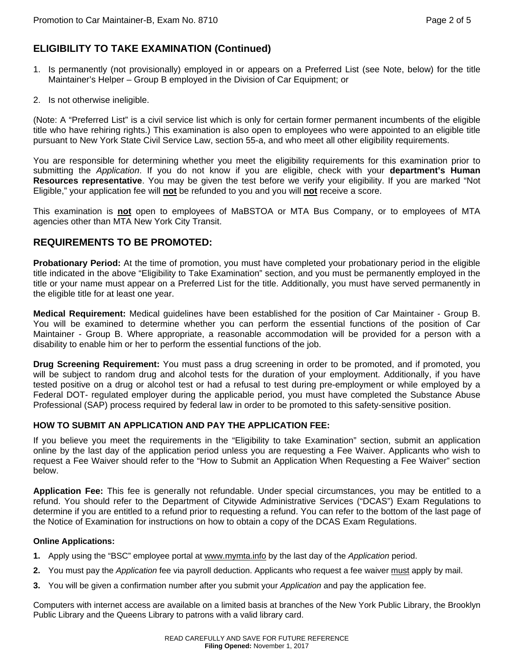# **ELIGIBILITY TO TAKE EXAMINATION (Continued)**

- 1. Is permanently (not provisionally) employed in or appears on a Preferred List (see Note, below) for the title Maintainer's Helper – Group B employed in the Division of Car Equipment; or
- 2. Is not otherwise ineligible.

(Note: A "Preferred List" is a civil service list which is only for certain former permanent incumbents of the eligible title who have rehiring rights.) This examination is also open to employees who were appointed to an eligible title pursuant to New York State Civil Service Law, section 55-a, and who meet all other eligibility requirements.

You are responsible for determining whether you meet the eligibility requirements for this examination prior to submitting the *Application*. If you do not know if you are eligible, check with your **department's Human Resources representative**. You may be given the test before we verify your eligibility. If you are marked "Not Eligible," your application fee will **not** be refunded to you and you will **not** receive a score.

This examination is **not** open to employees of MaBSTOA or MTA Bus Company, or to employees of MTA agencies other than MTA New York City Transit.

#### **REQUIREMENTS TO BE PROMOTED:**

**Probationary Period:** At the time of promotion, you must have completed your probationary period in the eligible title indicated in the above "Eligibility to Take Examination" section, and you must be permanently employed in the title or your name must appear on a Preferred List for the title. Additionally, you must have served permanently in the eligible title for at least one year.

**Medical Requirement:** Medical guidelines have been established for the position of Car Maintainer - Group B. You will be examined to determine whether you can perform the essential functions of the position of Car Maintainer - Group B. Where appropriate, a reasonable accommodation will be provided for a person with a disability to enable him or her to perform the essential functions of the job.

**Drug Screening Requirement:** You must pass a drug screening in order to be promoted, and if promoted, you will be subject to random drug and alcohol tests for the duration of your employment. Additionally, if you have tested positive on a drug or alcohol test or had a refusal to test during pre-employment or while employed by a Federal DOT- regulated employer during the applicable period, you must have completed the Substance Abuse Professional (SAP) process required by federal law in order to be promoted to this safety-sensitive position.

#### **HOW TO SUBMIT AN APPLICATION AND PAY THE APPLICATION FEE:**

If you believe you meet the requirements in the "Eligibility to take Examination" section, submit an application online by the last day of the application period unless you are requesting a Fee Waiver. Applicants who wish to request a Fee Waiver should refer to the "How to Submit an Application When Requesting a Fee Waiver" section below.

**Application Fee:** This fee is generally not refundable. Under special circumstances, you may be entitled to a refund. You should refer to the Department of Citywide Administrative Services ("DCAS") Exam Regulations to determine if you are entitled to a refund prior to requesting a refund. You can refer to the bottom of the last page of the Notice of Examination for instructions on how to obtain a copy of the DCAS Exam Regulations.

#### **Online Applications:**

- **1.** Apply using the "BSC" employee portal at www.mymta.info by the last day of the *Application* period.
- **2.** You must pay the *Application* fee via payroll deduction. Applicants who request a fee waiver must apply by mail.
- **3.** You will be given a confirmation number after you submit your *Application* and pay the application fee.

Computers with internet access are available on a limited basis at branches of the New York Public Library, the Brooklyn Public Library and the Queens Library to patrons with a valid library card.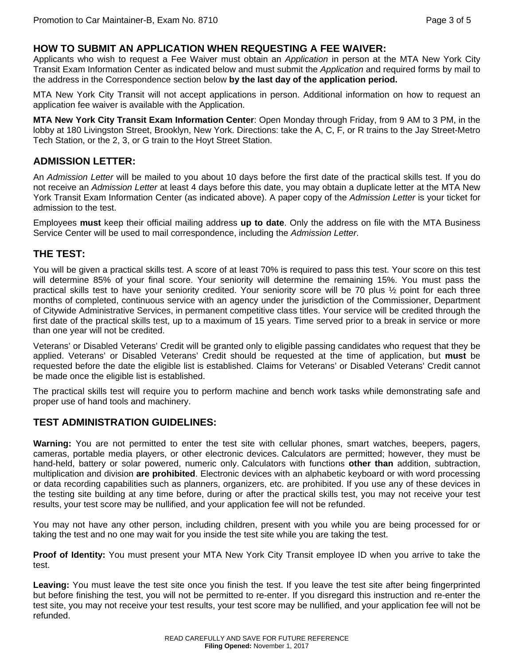#### **HOW TO SUBMIT AN APPLICATION WHEN REQUESTING A FEE WAIVER:**

Applicants who wish to request a Fee Waiver must obtain an *Application* in person at the MTA New York City Transit Exam Information Center as indicated below and must submit the *Application* and required forms by mail to the address in the Correspondence section below **by the last day of the application period.** 

MTA New York City Transit will not accept applications in person. Additional information on how to request an application fee waiver is available with the Application.

**MTA New York City Transit Exam Information Center**: Open Monday through Friday, from 9 AM to 3 PM, in the lobby at 180 Livingston Street, Brooklyn, New York. Directions: take the A, C, F, or R trains to the Jay Street-Metro Tech Station, or the 2, 3, or G train to the Hoyt Street Station.

## **ADMISSION LETTER:**

An *Admission Letter* will be mailed to you about 10 days before the first date of the practical skills test. If you do not receive an *Admission Letter* at least 4 days before this date, you may obtain a duplicate letter at the MTA New York Transit Exam Information Center (as indicated above). A paper copy of the *Admission Letter* is your ticket for admission to the test.

Employees **must** keep their official mailing address **up to date**. Only the address on file with the MTA Business Service Center will be used to mail correspondence, including the *Admission Letter*.

## **THE TEST:**

You will be given a practical skills test. A score of at least 70% is required to pass this test. Your score on this test will determine 85% of your final score. Your seniority will determine the remaining 15%. You must pass the practical skills test to have your seniority credited. Your seniority score will be 70 plus ½ point for each three months of completed, continuous service with an agency under the jurisdiction of the Commissioner, Department of Citywide Administrative Services, in permanent competitive class titles. Your service will be credited through the first date of the practical skills test, up to a maximum of 15 years. Time served prior to a break in service or more than one year will not be credited.

Veterans' or Disabled Veterans' Credit will be granted only to eligible passing candidates who request that they be applied. Veterans' or Disabled Veterans' Credit should be requested at the time of application, but **must** be requested before the date the eligible list is established. Claims for Veterans' or Disabled Veterans' Credit cannot be made once the eligible list is established.

The practical skills test will require you to perform machine and bench work tasks while demonstrating safe and proper use of hand tools and machinery.

## **TEST ADMINISTRATION GUIDELINES:**

**Warning:** You are not permitted to enter the test site with cellular phones, smart watches, beepers, pagers, cameras, portable media players, or other electronic devices. Calculators are permitted; however, they must be hand-held, battery or solar powered, numeric only. Calculators with functions **other than** addition, subtraction, multiplication and division **are prohibited**. Electronic devices with an alphabetic keyboard or with word processing or data recording capabilities such as planners, organizers, etc. are prohibited. If you use any of these devices in the testing site building at any time before, during or after the practical skills test, you may not receive your test results, your test score may be nullified, and your application fee will not be refunded.

You may not have any other person, including children, present with you while you are being processed for or taking the test and no one may wait for you inside the test site while you are taking the test.

**Proof of Identity:** You must present your MTA New York City Transit employee ID when you arrive to take the test.

**Leaving:** You must leave the test site once you finish the test. If you leave the test site after being fingerprinted but before finishing the test, you will not be permitted to re-enter. If you disregard this instruction and re-enter the test site, you may not receive your test results, your test score may be nullified, and your application fee will not be refunded.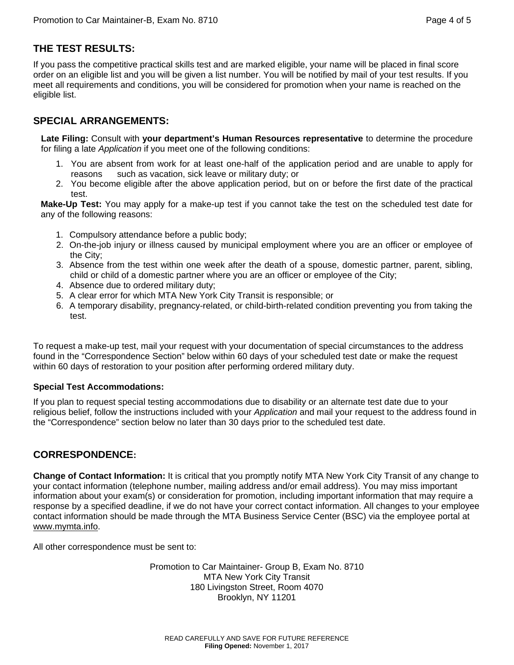# **THE TEST RESULTS:**

If you pass the competitive practical skills test and are marked eligible, your name will be placed in final score order on an eligible list and you will be given a list number. You will be notified by mail of your test results. If you meet all requirements and conditions, you will be considered for promotion when your name is reached on the eligible list.

## **SPECIAL ARRANGEMENTS:**

**Late Filing:** Consult with **your department's Human Resources representative** to determine the procedure for filing a late *Application* if you meet one of the following conditions:

- 1. You are absent from work for at least one-half of the application period and are unable to apply for reasons such as vacation, sick leave or military duty; or
- 2. You become eligible after the above application period, but on or before the first date of the practical test.

**Make-Up Test:** You may apply for a make-up test if you cannot take the test on the scheduled test date for any of the following reasons:

- 1. Compulsory attendance before a public body;
- 2. On-the-job injury or illness caused by municipal employment where you are an officer or employee of the City;
- 3. Absence from the test within one week after the death of a spouse, domestic partner, parent, sibling, child or child of a domestic partner where you are an officer or employee of the City;
- 4. Absence due to ordered military duty;
- 5. A clear error for which MTA New York City Transit is responsible; or
- 6. A temporary disability, pregnancy-related, or child-birth-related condition preventing you from taking the test.

To request a make-up test, mail your request with your documentation of special circumstances to the address found in the "Correspondence Section" below within 60 days of your scheduled test date or make the request within 60 days of restoration to your position after performing ordered military duty.

#### **Special Test Accommodations:**

If you plan to request special testing accommodations due to disability or an alternate test date due to your religious belief, follow the instructions included with your *Application* and mail your request to the address found in the "Correspondence" section below no later than 30 days prior to the scheduled test date.

## **CORRESPONDENCE:**

**Change of Contact Information:** It is critical that you promptly notify MTA New York City Transit of any change to your contact information (telephone number, mailing address and/or email address). You may miss important information about your exam(s) or consideration for promotion, including important information that may require a response by a specified deadline, if we do not have your correct contact information. All changes to your employee contact information should be made through the MTA Business Service Center (BSC) via the employee portal at www.mymta.info.

All other correspondence must be sent to:

Promotion to Car Maintainer- Group B, Exam No. 8710 MTA New York City Transit 180 Livingston Street, Room 4070 Brooklyn, NY 11201